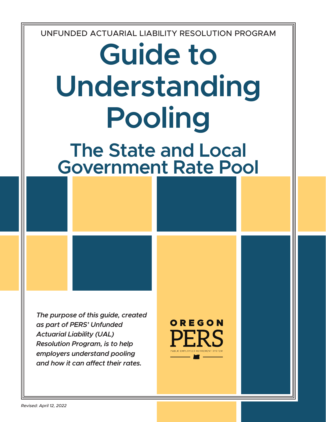UNFUNDED ACTUARIAL LIABILITY RESOLUTION PROGRAM

# **Guide to Understanding Pooling**

# **The State and Local Government Rate Pool**

*The purpose of this guide, created as part of PERS' Unfunded Actuarial Liability (UAL) Resolution Program, is to help employers understand pooling and how it can affect their rates.*



*Revised: April 12, 2022*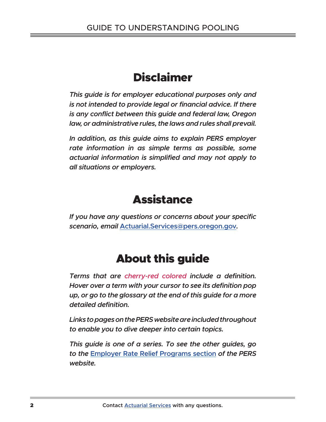# Disclaimer

*This guide is for employer educational purposes only and is not intended to provide legal or financial advice. If there is any conflict between this guide and federal law, Oregon law, or administrative rules, the laws and rules shall prevail.* 

*In addition, as this guide aims to explain PERS employer rate information in as simple terms as possible, some actuarial information is simplified and may not apply to all situations or employers.*

# **Assistance**

*If you have any questions or concerns about your specific scenario, email* **Actuarial.Services@pers.oregon.gov***.*

# About this guide

*Terms that are cherry-red colored include a definition. Hover over a term with your cursor to see its definition pop up, or go to the glossary at the end of this guide for a more detailed definition.* 

*Links to pages on the PERS website are included throughout to enable you to dive deeper into certain topics.* 

*This guide is one of a series. To see the other guides, go to the* **Employer Rate Relief Programs section** *of the PERS website.*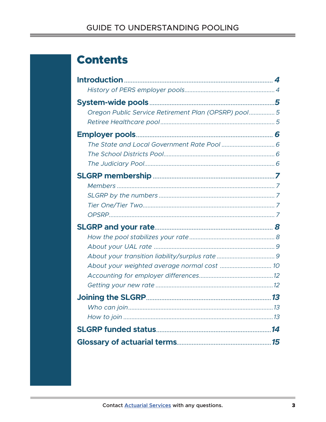# **Contents**

| Oregon Public Service Retirement Plan (OPSRP) pool 5 |
|------------------------------------------------------|
|                                                      |
|                                                      |
|                                                      |
|                                                      |
|                                                      |
|                                                      |
|                                                      |
|                                                      |
|                                                      |
|                                                      |
|                                                      |
|                                                      |
|                                                      |
|                                                      |
|                                                      |
|                                                      |
|                                                      |
|                                                      |
|                                                      |
|                                                      |
|                                                      |
|                                                      |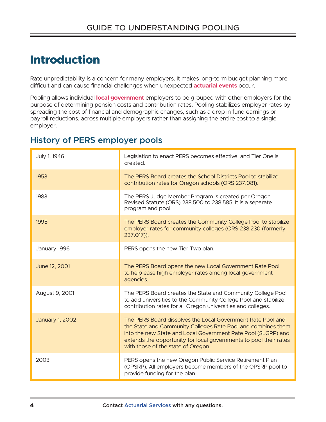# Introduction

Rate unpredictability is a concern for many employers. It makes long-term budget planning more difficult and can cause financial challenges when unexpected **actuarial events** occur.

Pooling allows individual **local government** employers to be grouped with other employers for the purpose of determining pension costs and contribution rates. Pooling stabilizes employer rates by spreading the cost of financial and demographic changes, such as a drop in fund earnings or payroll reductions, across multiple employers rather than assigning the entire cost to a single employer.

### **History of PERS employer pools**

| July 1, 1946           | Legislation to enact PERS becomes effective, and Tier One is<br>created.                                                                                                                                                                                                                                |  |  |  |
|------------------------|---------------------------------------------------------------------------------------------------------------------------------------------------------------------------------------------------------------------------------------------------------------------------------------------------------|--|--|--|
| 1953                   | The PERS Board creates the School Districts Pool to stabilize<br>contribution rates for Oregon schools (ORS 237.081).                                                                                                                                                                                   |  |  |  |
| 1983                   | The PERS Judge Member Program is created per Oregon<br>Revised Statute (ORS) 238.500 to 238.585. It is a separate<br>program and pool.                                                                                                                                                                  |  |  |  |
| 1995                   | The PERS Board creates the Community College Pool to stabilize<br>employer rates for community colleges (ORS 238.230 (formerly<br>$237.017$ )).                                                                                                                                                         |  |  |  |
| January 1996           | PERS opens the new Tier Two plan.                                                                                                                                                                                                                                                                       |  |  |  |
| June 12, 2001          | The PERS Board opens the new Local Government Rate Pool<br>to help ease high employer rates among local government<br>agencies.                                                                                                                                                                         |  |  |  |
| August 9, 2001         | The PERS Board creates the State and Community College Pool<br>to add universities to the Community College Pool and stabilize<br>contribution rates for all Oregon universities and colleges.                                                                                                          |  |  |  |
| <b>January 1, 2002</b> | The PERS Board dissolves the Local Government Rate Pool and<br>the State and Community Colleges Rate Pool and combines them<br>into the new State and Local Government Rate Pool (SLGRP) and<br>extends the opportunity for local governments to pool their rates<br>with those of the state of Oregon. |  |  |  |
| 2003                   | PERS opens the new Oregon Public Service Retirement Plan<br>(OPSRP). All employers become members of the OPSRP pool to<br>provide funding for the plan.                                                                                                                                                 |  |  |  |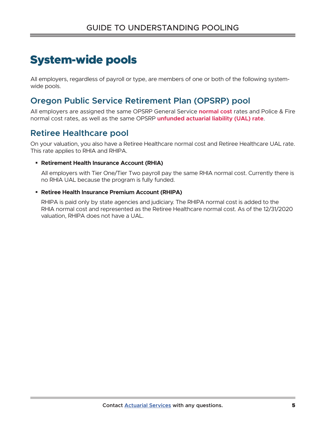# System-wide pools

All employers, regardless of payroll or type, are members of one or both of the following systemwide pools.

### **Oregon Public Service Retirement Plan (OPSRP) pool**

All employers are assigned the same OPSRP General Service **normal cost** rates and Police & Fire normal cost rates, as well as the same OPSRP **unfunded actuarial liability (UAL) rate**.

### **Retiree Healthcare pool**

On your valuation, you also have a Retiree Healthcare normal cost and Retiree Healthcare UAL rate. This rate applies to RHIA and RHIPA.

#### **Retirement Health Insurance Account (RHIA)**

All employers with Tier One/Tier Two payroll pay the same RHIA normal cost. Currently there is no RHIA UAL because the program is fully funded.

#### **Retiree Health Insurance Premium Account (RHIPA)**

RHIPA is paid only by state agencies and judiciary. The RHIPA normal cost is added to the RHIA normal cost and represented as the Retiree Healthcare normal cost. As of the 12/31/2020 valuation, RHIPA does not have a UAL.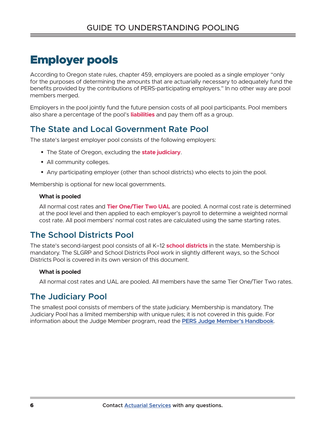# Employer pools

According to Oregon state rules, chapter 459, employers are pooled as a single employer "only for the purposes of determining the amounts that are actuarially necessary to adequately fund the benefits provided by the contributions of PERS-participating employers." In no other way are pool members merged.

Employers in the pool jointly fund the future pension costs of all pool participants. Pool members also share a percentage of the pool's **liabilities** and pay them off as a group.

## **The State and Local Government Rate Pool**

The state's largest employer pool consists of the following employers:

- The State of Oregon, excluding the **state judiciary**.
- All community colleges.
- Any participating employer (other than school districts) who elects to join the pool.

Membership is optional for new local governments.

#### **What is pooled**

All normal cost rates and **Tier One/Tier Two UAL** are pooled. A normal cost rate is determined at the pool level and then applied to each employer's payroll to determine a weighted normal cost rate. All pool members' normal cost rates are calculated using the same starting rates.

### **The School Districts Pool**

The state's second-largest pool consists of all K–12 **school districts** in the state. Membership is mandatory. The SLGRP and School Districts Pool work in slightly different ways, so the School Districts Pool is covered in its own version of this document.

#### **What is pooled**

All normal cost rates and UAL are pooled. All members have the same Tier One/Tier Two rates.

# **The Judiciary Pool**

The smallest pool consists of members of the state judiciary. Membership is mandatory. The Judiciary Pool has a limited membership with unique rules; it is not covered in this guide. For information about the Judge Member program, read the **PERS Judge Member's Handbook**.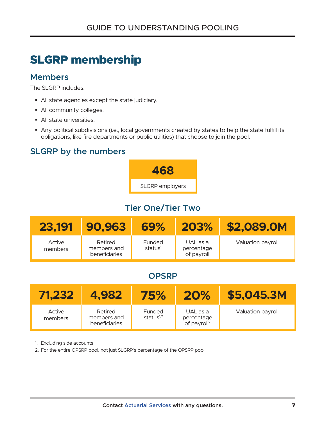# SLGRP membership

### **Members**

The SLGRP includes:

- All state agencies except the state judiciary.
- All community colleges.
- All state universities.
- Any political subdivisions (i.e., local governments created by states to help the state fulfill its obligations, like fire departments or public utilities) that choose to join the pool.

# **SLGRP by the numbers**



# **Tier One/Tier Two**

| 23.191            | 90.963                                  | 69%                           | 203%                                 | \$2,089.0M        |
|-------------------|-----------------------------------------|-------------------------------|--------------------------------------|-------------------|
| Active<br>members | Retired<br>members and<br>beneficiaries | Funded<br>status <sup>1</sup> | UAL as a<br>percentage<br>of payroll | Valuation payroll |

# **OPSRP**

| 71.232            | 4,982                                   | 75%                           | 20%                                               | \$5,045.3M        |
|-------------------|-----------------------------------------|-------------------------------|---------------------------------------------------|-------------------|
| Active<br>members | Retired<br>members and<br>beneficiaries | <b>Funded</b><br>status $1,2$ | UAL as a<br>percentage<br>of payroll <sup>2</sup> | Valuation payroll |

1. Excluding side accounts

2. For the entire OPSRP pool, not just SLGRP's percentage of the OPSRP pool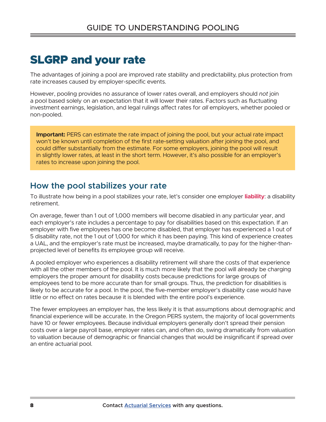# SLGRP and your rate

The advantages of joining a pool are improved rate stability and predictability, plus protection from rate increases caused by employer-specific events.

However, pooling provides no assurance of lower rates overall, and employers should *not* join a pool based solely on an expectation that it will lower their rates. Factors such as fluctuating investment earnings, legislation, and legal rulings affect rates for *all* employers, whether pooled or non-pooled.

**Important:** PERS can estimate the rate impact of joining the pool, but your actual rate impact won't be known until completion of the first rate-setting valuation after joining the pool, and could differ substantially from the estimate. For some employers, joining the pool will result in slightly lower rates, at least in the short term. However, it's also possible for an employer's rates to increase upon joining the pool.

### **How the pool stabilizes your rate**

To illustrate how being in a pool stabilizes your rate, let's consider one employer **liability**: a disability retirement.

On average, fewer than 1 out of 1,000 members will become disabled in any particular year, and each employer's rate includes a percentage to pay for disabilities based on this expectation. If an employer with five employees has one become disabled, that employer has experienced a 1 out of 5 disability rate, not the 1 out of 1,000 for which it has been paying. This kind of experience creates a UAL, and the employer's rate must be increased, maybe dramatically, to pay for the higher-thanprojected level of benefits its employee group will receive.

A pooled employer who experiences a disability retirement will share the costs of that experience with all the other members of the pool. It is much more likely that the pool will already be charging employers the proper amount for disability costs because predictions for large groups of employees tend to be more accurate than for small groups. Thus, the prediction for disabilities is likely to be accurate for a pool. In the pool, the five-member employer's disability case would have little or no effect on rates because it is blended with the entire pool's experience.

The fewer employees an employer has, the less likely it is that assumptions about demographic and financial experience will be accurate. In the Oregon PERS system, the majority of local governments have 10 or fewer employees. Because individual employers generally don't spread their pension costs over a large payroll base, employer rates can, and often do, swing dramatically from valuation to valuation because of demographic or financial changes that would be insignificant if spread over an entire actuarial pool.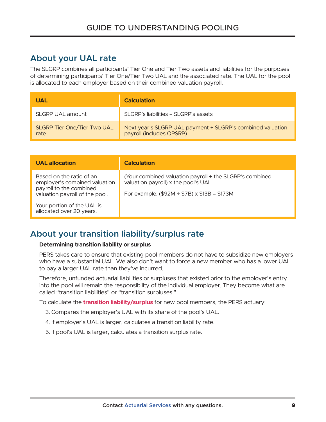### **About your UAL rate**

The SLGRP combines all participants' Tier One and Tier Two assets and liabilities for the purposes of determining participants' Tier One/Tier Two UAL and the associated rate. The UAL for the pool is allocated to each employer based on their combined valuation payroll.

| <b>UAL</b>                                 | <b>Calculation</b>                                                                     |
|--------------------------------------------|----------------------------------------------------------------------------------------|
| SLGRP UAL amount                           | SLGRP's liabilities – SLGRP's assets                                                   |
| <b>SLGRP Tier One/Tier Two UAL</b><br>rate | Next year's SLGRP UAL payment ÷ SLGRP's combined valuation<br>payroll (includes OPSRP) |

| <b>UAL allocation</b>                                                                                                                                                            | <b>Calculation</b>                                                                                                                                            |
|----------------------------------------------------------------------------------------------------------------------------------------------------------------------------------|---------------------------------------------------------------------------------------------------------------------------------------------------------------|
| Based on the ratio of an<br>employer's combined valuation<br>payroll to the combined<br>valuation payroll of the pool.<br>Your portion of the UAL is<br>allocated over 20 years. | (Your combined valuation payroll $\div$ the SLGRP's combined<br>valuation payroll) x the pool's UAL<br>For example: $(\$92M \div \$7B) \times \$13B = \$173M$ |

### **About your transition liability/surplus rate**

#### **Determining transition liability or surplus**

PERS takes care to ensure that existing pool members do not have to subsidize new employers who have a substantial UAL. We also don't want to force a new member who has a lower UAL to pay a larger UAL rate than they've incurred.

Therefore, unfunded actuarial liabilities or surpluses that existed prior to the employer's entry into the pool will remain the responsibility of the individual employer. They become what are called "transition liabilities" or "transition surpluses."

To calculate the **transition liability/surplus** for new pool members, the PERS actuary:

- 3. Compares the employer's UAL with its share of the pool's UAL.
- 4. If employer's UAL is larger, calculates a transition liability rate.
- 5. If pool's UAL is larger, calculates a transition surplus rate.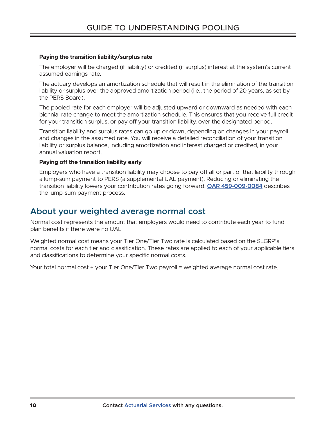#### **Paying the transition liability/surplus rate**

The employer will be charged (if liability) or credited (if surplus) interest at the system's current assumed earnings rate.

The actuary develops an amortization schedule that will result in the elimination of the transition liability or surplus over the approved amortization period (i.e., the period of 20 years, as set by the PERS Board).

The pooled rate for each employer will be adjusted upward or downward as needed with each biennial rate change to meet the amortization schedule. This ensures that you receive full credit for your transition surplus, or pay off your transition liability, over the designated period.

Transition liability and surplus rates can go up or down, depending on changes in your payroll and changes in the assumed rate. You will receive a detailed reconciliation of your transition liability or surplus balance, including amortization and interest charged or credited, in your annual valuation report.

#### **Paying off the transition liability early**

Employers who have a transition liability may choose to pay off all or part of that liability through a lump-sum payment to PERS (a supplemental UAL payment). Reducing or eliminating the transition liability lowers your contribution rates going forward. **OAR 459-009-0084** describes the lump-sum payment process.

### **About your weighted average normal cost**

Normal cost represents the amount that employers would need to contribute each year to fund plan benefits if there were no UAL.

Weighted normal cost means your Tier One/Tier Two rate is calculated based on the SLGRP's normal costs for each tier and classification. These rates are applied to each of your applicable tiers and classifications to determine your specific normal costs.

Your total normal cost ÷ your Tier One/Tier Two payroll = weighted average normal cost rate.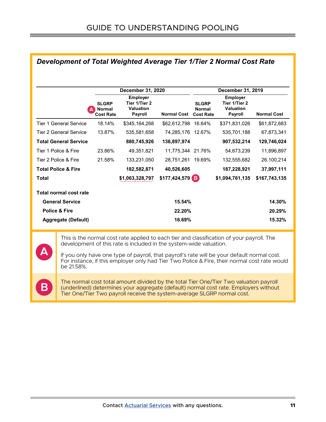|                                | December 31, 2020                                 |                                                                        |                    |                                                   | December 31, 2019                                                      |                    |
|--------------------------------|---------------------------------------------------|------------------------------------------------------------------------|--------------------|---------------------------------------------------|------------------------------------------------------------------------|--------------------|
|                                | <b>SLGRP</b><br><b>Normal</b><br><b>Cost Rate</b> | <b>Employer</b><br>Tier 1/Tier 2<br><b>Valuation</b><br><b>Payroll</b> | <b>Normal Cost</b> | <b>SLGRP</b><br><b>Normal</b><br><b>Cost Rate</b> | <b>Employer</b><br>Tier 1/Tier 2<br><b>Valuation</b><br><b>Payroll</b> | <b>Normal Cost</b> |
| <b>Tier 1 General Service</b>  | 18.14%                                            | \$345,164,268                                                          | \$62,612,798       | 16.64%                                            | \$371,831,026                                                          | \$61,872,683       |
| <b>Tier 2 General Service</b>  | 13.87%                                            | 535,581,658                                                            | 74,285,176         | 12.67%                                            | 535,701,188                                                            | 67,873,341         |
| <b>Total General Service</b>   |                                                   | 880,745,926                                                            | 136,897,974        |                                                   | 907,532,214                                                            | 129,746,024        |
| Tier 1 Police & Fire           | 23.86%                                            | 49,351,821                                                             | 11,775,344 21.76%  |                                                   | 54,673,239                                                             | 11,896,897         |
| Tier 2 Police & Fire           | 21.58%                                            | 133,231,050                                                            | 28,751,261         | 19.69%                                            | 132,555,682                                                            | 26,100,214         |
| <b>Total Police &amp; Fire</b> |                                                   | 182,582,871                                                            | 40,526,605         |                                                   | 187,228,921                                                            | 37,997,111         |
| <b>Total</b>                   |                                                   | \$1,063,328,797                                                        | $$177,424,579$ B   |                                                   | \$1,094,761,135                                                        | \$167,743,135      |
| <b>Total normal cost rate</b>  |                                                   |                                                                        |                    |                                                   |                                                                        |                    |
| <b>General Service</b>         |                                                   |                                                                        | 15.54%             |                                                   |                                                                        | 14.30%             |
| <b>Police &amp; Fire</b>       |                                                   |                                                                        | 22.20%             |                                                   |                                                                        | 20.29%             |
| Aggregate (Default)            |                                                   |                                                                        | 16.69%             |                                                   |                                                                        | 15.32%             |

#### *Development of Total Weighted Average Tier 1/Tier 2 Normal Cost Rate*

This is the normal cost rate applied to each tier and classification of your payroll. The development of this rate is included in the system-wide valuation.

**A**

If you only have one type of payroll, that payroll's rate will be your default normal cost. For instance, if this employer only had Tier Two Police & Fire, their normal cost rate would be 21.58%.

The normal cost total amount divided by the total Tier One/Tier Two valuation payroll<br>
(underlined) determines your aggregate (default) normal cost rate. Employers without **Milliman** 9 Tier One/Tier Two payroll receive the system-average SLGRP normal cost. intend to benefit and assumes no duty or liability to other parties who receive this work. Milliman

recommends that the parties by third parties by the aided by the other qualified professional when  $\alpha$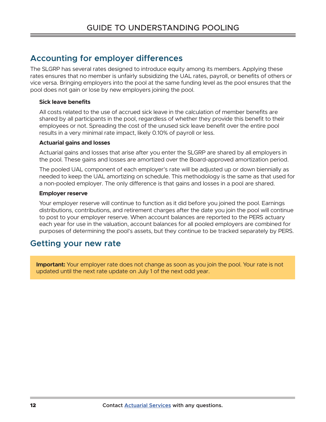### **Accounting for employer differences**

The SLGRP has several rates designed to introduce equity among its members. Applying these rates ensures that no member is unfairly subsidizing the UAL rates, payroll, or benefits of others or vice versa. Bringing employers into the pool at the same funding level as the pool ensures that the pool does not gain or lose by new employers joining the pool.

#### **Sick leave benefits**

All costs related to the use of accrued sick leave in the calculation of member benefits are shared by all participants in the pool, regardless of whether they provide this benefit to their employees or not. Spreading the cost of the unused sick leave benefit over the entire pool results in a very minimal rate impact, likely 0.10% of payroll or less.

#### **Actuarial gains and losses**

Actuarial gains and losses that arise after you enter the SLGRP are shared by all employers in the pool. These gains and losses are amortized over the Board-approved amortization period.

The pooled UAL component of each employer's rate will be adjusted up or down biennially as needed to keep the UAL amortizing on schedule. This methodology is the same as that used for a non-pooled employer. The only difference is that gains and losses in a pool are shared.

#### **Employer reserve**

Your employer reserve will continue to function as it did before you joined the pool. Earnings distributions, contributions, and retirement charges after the date you join the pool will continue to post to your employer reserve. When account balances are reported to the PERS actuary each year for use in the valuation, account balances for all pooled employers are combined for purposes of determining the pool's assets, but they continue to be tracked separately by PERS.

### **Getting your new rate**

**Important:** Your employer rate does not change as soon as you join the pool. Your rate is not updated until the next rate update on July 1 of the next odd year.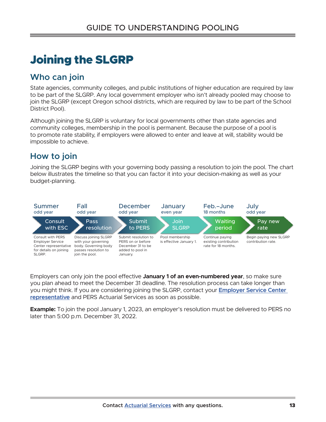# Joining the SLGRP

### **Who can join**

State agencies, community colleges, and public institutions of higher education are required by law to be part of the SLGRP. Any local government employer who isn't already pooled may choose to join the SLGRP (except Oregon school districts, which are required by law to be part of the School District Pool).

Although joining the SLGRP is voluntary for local governments other than state agencies and community colleges, membership in the pool is permanent. Because the purpose of a pool is to promote rate stability, if employers were allowed to enter and leave at will, stability would be impossible to achieve.

### **How to join**

Joining the SLGRP begins with your governing body passing a resolution to join the pool. The chart below illustrates the timeline so that you can factor it into your decision-making as well as your budget-planning.



Employers can only join the pool effective **January 1 of an even-numbered year**, so make sure you plan ahead to meet the December 31 deadline. The resolution process can take longer than you might think. If you are considering joining the SLGRP, contact your **Employer Service Center representative** and PERS Actuarial Services as soon as possible.

**Example:** To join the pool January 1, 2023, an employer's resolution must be delivered to PERS no later than 5:00 p.m. December 31, 2022.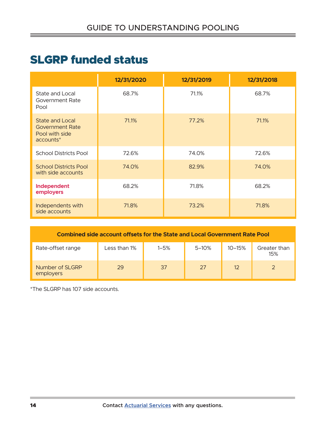# SLGRP funded status

|                                                                                 | 12/31/2020 | 12/31/2019 | 12/31/2018 |
|---------------------------------------------------------------------------------|------------|------------|------------|
| State and Local<br>Government Rate<br>Pool                                      | 68.7%      | 71.1%      | 68.7%      |
| <b>State and Local</b><br><b>Government Rate</b><br>Pool with side<br>accounts* | 71.1%      | 77.2%      | 71.1%      |
| <b>School Districts Pool</b>                                                    | 72.6%      | 74.0%      | 72.6%      |
| <b>School Districts Pool</b><br>with side accounts                              | 74.0%      | 82.9%      | 74.0%      |
| Independent<br>employers                                                        | 68.2%      | 71.8%      | 68.2%      |
| Independents with<br>side accounts                                              | 71.8%      | 73.2%      | 71.8%      |

| <b>Combined side account offsets for the State and Local Government Rate Pool</b> |              |          |           |            |                     |  |
|-----------------------------------------------------------------------------------|--------------|----------|-----------|------------|---------------------|--|
| Rate-offset range                                                                 | Less than 1% | $1 - 5%$ | $5 - 10%$ | $10 - 15%$ | Greater than<br>15% |  |
| Number of SLGRP<br>employers                                                      | 29           | 37       | 27        | 12         |                     |  |

\*The SLGRP has 107 side accounts.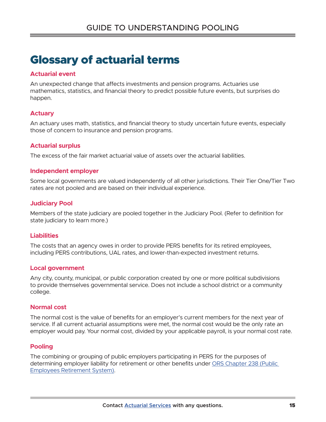# Glossary of actuarial terms

#### **Actuarial event**

An unexpected change that affects investments and pension programs. Actuaries use mathematics, statistics, and financial theory to predict possible future events, but surprises do happen.

#### **Actuary**

An actuary uses math, statistics, and financial theory to study uncertain future events, especially those of concern to insurance and pension programs.

#### **Actuarial surplus**

The excess of the fair market actuarial value of assets over the actuarial liabilities.

#### **Independent employer**

Some local governments are valued independently of all other jurisdictions. Their Tier One/Tier Two rates are not pooled and are based on their individual experience.

#### **Judiciary Pool**

Members of the state judiciary are pooled together in the Judiciary Pool. (Refer to definition for state judiciary to learn more.)

#### **Liabilities**

The costs that an agency owes in order to provide PERS benefits for its retired employees, including PERS contributions, UAL rates, and lower-than-expected investment returns.

#### **Local government**

Any city, county, municipal, or public corporation created by one or more political subdivisions to provide themselves governmental service. Does not include a school district or a community college.

#### **Normal cost**

The normal cost is the value of benefits for an employer's current members for the next year of service. If all current actuarial assumptions were met, the normal cost would be the only rate an employer would pay. Your normal cost, divided by your applicable payroll, is your normal cost rate.

#### **Pooling**

The combining or grouping of public employers participating in PERS for the purposes of determining employer liability for retirement or other benefits under ORS Chapter 238 (Public Employees Retirement System).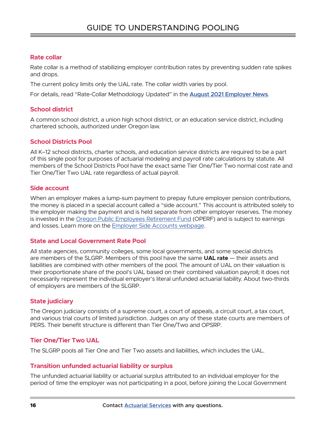#### **Rate collar**

Rate collar is a method of stabilizing employer contribution rates by preventing sudden rate spikes and drops.

The current policy limits only the UAL rate. The collar width varies by pool.

For details, read "Rate-Collar Methodology Updated" in the **August 2021 Employer News**.

#### **School district**

A common school district, a union high school district, or an education service district, including chartered schools, authorized under Oregon law.

#### **School Districts Pool**

All K–12 school districts, charter schools, and education service districts are required to be a part of this single pool for purposes of actuarial modeling and payroll rate calculations by statute. All members of the School Districts Pool have the exact same Tier One/Tier Two normal cost rate and Tier One/Tier Two UAL rate regardless of actual payroll.

#### **Side account**

When an employer makes a lump-sum payment to prepay future employer pension contributions, the money is placed in a special account called a "side account." This account is attributed solely to the employer making the payment and is held separate from other employer reserves. The money is invested in the Oregon Public Employees Retirement Fund (OPERF) and is subject to earnings and losses. Learn more on the Employer Side Accounts webpage.

#### **State and Local Government Rate Pool**

All state agencies, community colleges, some local governments, and some special districts are members of the SLGRP. Members of this pool have the same **UAL rate** — their assets and liabilities are combined with other members of the pool. The amount of UAL on their valuation is their proportionate share of the pool's UAL based on their combined valuation payroll; it does not necessarily represent the individual employer's literal unfunded actuarial liability. About two-thirds of employers are members of the SLGRP.

#### **State judiciary**

The Oregon judiciary consists of a supreme court, a court of appeals, a circuit court, a tax court, and various trial courts of limited jurisdiction. Judges on any of these state courts are members of PERS. Their benefit structure is different than Tier One/Two and OPSRP.

#### **Tier One/Tier Two UAL**

The SLGRP pools all Tier One and Tier Two assets and liabilities, which includes the UAL.

#### **Transition unfunded actuarial liability or surplus**

The unfunded actuarial liability or actuarial surplus attributed to an individual employer for the period of time the employer was not participating in a pool, before joining the Local Government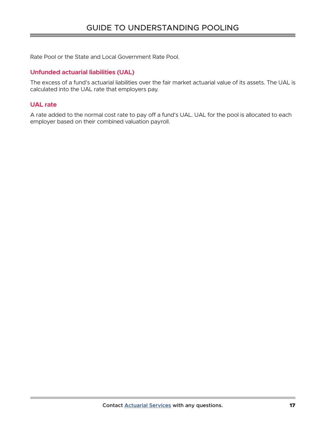Rate Pool or the State and Local Government Rate Pool.

#### **Unfunded actuarial liabilities (UAL)**

The excess of a fund's actuarial liabilities over the fair market actuarial value of its assets. The UAL is calculated into the UAL rate that employers pay.

#### **UAL rate**

A rate added to the normal cost rate to pay off a fund's UAL. UAL for the pool is allocated to each employer based on their combined valuation payroll.